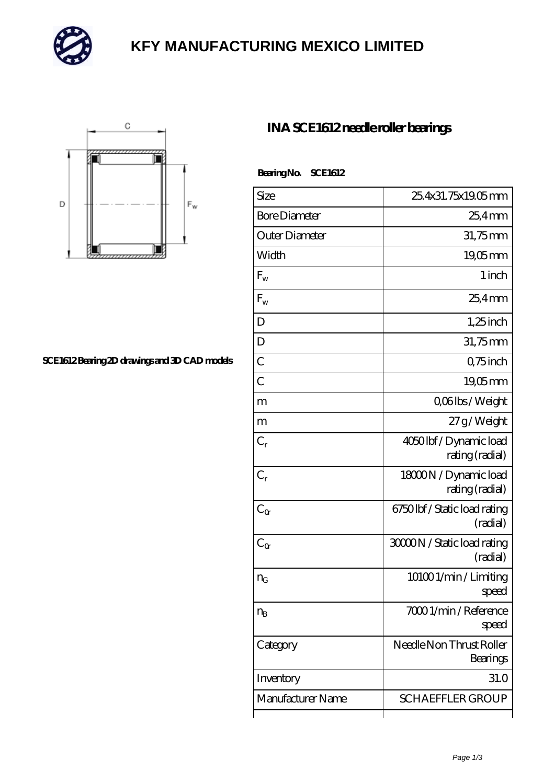

# **[KFY MANUFACTURING MEXICO LIMITED](https://m.mailemotion.tv)**



#### **[SCE1612 Bearing 2D drawings and 3D CAD models](https://m.mailemotion.tv/pic-414494.html)**

### **[INA SCE1612 needle roller bearings](https://m.mailemotion.tv/az-414494-ina-sce1612-needle-roller-bearings.html)**

| BearingNo. | <b>SCE1612</b> |
|------------|----------------|
|            |                |

| Size                 | 25.4x31.75x19.05mm                       |
|----------------------|------------------------------------------|
| <b>Bore Diameter</b> | $254$ mm                                 |
| Outer Diameter       | 31,75mm                                  |
| Width                | $19,05$ mm                               |
| $F_{\rm w}$          | 1 inch                                   |
| $F_{w}$              | $254$ <sub>mm</sub>                      |
| D                    | $1,25$ inch                              |
| D                    | 31,75mm                                  |
| $\overline{C}$       | Q75 inch                                 |
| $\overline{C}$       | 1905mm                                   |
| m                    | Q06lbs/Weight                            |
| m                    | 27g/Weight                               |
| $C_r$                | 4050lbf/Dynamic load<br>rating (radial)  |
| $C_{r}$              | 18000N / Dynamic load<br>rating (radial) |
| $C_{\alpha}$         | 6750lbf / Static load rating<br>(radial) |
| $C_{\alpha}$         | 3000N / Static load rating<br>(radial)   |
| $n_G$                | 101001/min/Limiting<br>speed             |
| $n_{B}$              | 7000 1/min / Reference<br>speed          |
| Category             | Needle Non Thrust Roller<br>Bearings     |
| Inventory            | 31.0                                     |
| Manufacturer Name    | <b>SCHAEFFLER GROUP</b>                  |
|                      |                                          |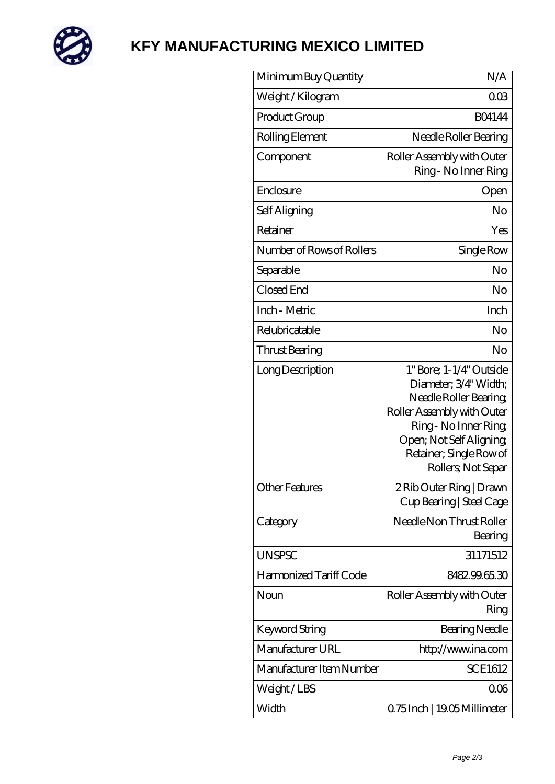

# **[KFY MANUFACTURING MEXICO LIMITED](https://m.mailemotion.tv)**

| Minimum Buy Quantity      | N/A                                                                                                                                                                                                         |
|---------------------------|-------------------------------------------------------------------------------------------------------------------------------------------------------------------------------------------------------------|
| Weight/Kilogram           | 003                                                                                                                                                                                                         |
| Product Group             | <b>BO4144</b>                                                                                                                                                                                               |
| Rolling Element           | Needle Roller Bearing                                                                                                                                                                                       |
| Component                 | Roller Assembly with Outer<br>Ring - No Inner Ring                                                                                                                                                          |
| Enclosure                 | Open                                                                                                                                                                                                        |
| Self Aligning             | No                                                                                                                                                                                                          |
| Retainer                  | Yes                                                                                                                                                                                                         |
| Number of Rows of Rollers | Single Row                                                                                                                                                                                                  |
| Separable                 | No                                                                                                                                                                                                          |
| Closed End                | No                                                                                                                                                                                                          |
| Inch - Metric             | Inch                                                                                                                                                                                                        |
| Relubricatable            | No                                                                                                                                                                                                          |
| Thrust Bearing            | No                                                                                                                                                                                                          |
| Long Description          | 1" Bore; 1-1/4" Outside<br>Diameter; 3/4" Width;<br>Needle Roller Bearing<br>Roller Assembly with Outer<br>Ring - No Inner Ring<br>Open; Not Self Aligning<br>Retainer; Single Row of<br>Rollers; Not Separ |
| Other Features            | 2Rib Outer Ring   Drawn<br>Cup Bearing   Steel Cage                                                                                                                                                         |
| Category                  | Needle Non Thrust Roller<br>Bearing                                                                                                                                                                         |
| <b>UNSPSC</b>             | 31171512                                                                                                                                                                                                    |
| Harmonized Tariff Code    | 848299.65.30                                                                                                                                                                                                |
| Noun                      | Roller Assembly with Outer<br>Ring                                                                                                                                                                          |
| Keyword String            | Bearing Needle                                                                                                                                                                                              |
| Manufacturer URL          | http://www.ina.com                                                                                                                                                                                          |
| Manufacturer Item Number  | <b>SCE1612</b>                                                                                                                                                                                              |
| Weight/LBS                | 006                                                                                                                                                                                                         |
| Width                     | 0.75 Inch   19.05 Millimeter                                                                                                                                                                                |